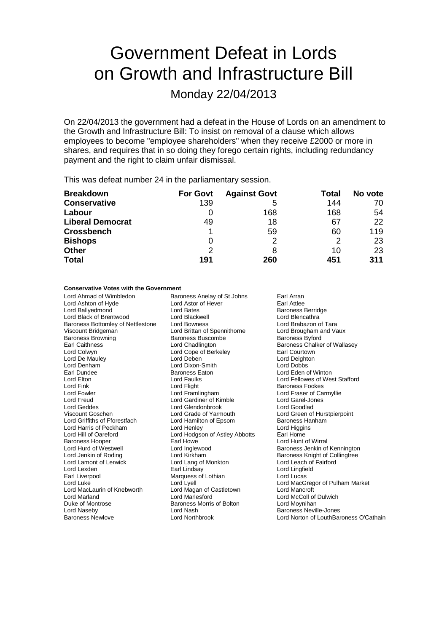# Government Defeat in Lords on Growth and Infrastructure Bill

Monday 22/04/2013

On 22/04/2013 the government had a defeat in the House of Lords on an amendment to the Growth and Infrastructure Bill: To insist on removal of a clause which allows employees to become "employee shareholders" when they receive £2000 or more in shares, and requires that in so doing they forego certain rights, including redundancy payment and the right to claim unfair dismissal.

This was defeat number 24 in the parliamentary session.

| <b>Breakdown</b>        | <b>For Govt</b> | <b>Against Govt</b> | <b>Total</b> | No vote |
|-------------------------|-----------------|---------------------|--------------|---------|
| <b>Conservative</b>     | 139             | 5                   | 144          | 70      |
| Labour                  |                 | 168                 | 168          | 54      |
| <b>Liberal Democrat</b> | 49              | 18                  | 67           | 22      |
| <b>Crossbench</b>       |                 | 59                  | 60           | 119     |
| <b>Bishops</b>          | O               | າ                   | 2            | 23      |
| Other                   | 2               | 8                   | 10           | 23      |
| <b>Total</b>            | 191             | 260                 | 451          | 311     |

## **Conservative Votes with the Government**

Lord Ahmad of Wimbledon Baroness Anelay of St Johns Earl Arran<br>
Lord Astor of Hove Earl Attlee Lord Ashton of Hyde<br>
Lord Ballvedmond<br>
Lord Bates Lord Black of Brentwood Lord Blackwell Lord Blencathra Cord Blackwell<br>
Baroness Bottomley of Nettlestone Lord Bowness Cord Branch Lord Brabazon of Tara Baroness Bottomley of Nettlestone Lord Bowness Lord Brabazon of Tara<br>
Lord Brittan of Spennithorne Lord Brougham and Vaux Viscount Bridgeman **Viscount Bridgeman** Lord Brittan of Spennithorne Lord Brougham and Vaux Baroness Britan of Spennithorne **Article Baroness Britan and Vaux Baroness** Britan and Vaux Baroness Butord Baroness Britan and Ba Earl Caithness **Exercise Channel Constructs** Lord Chadlington **Baroness Chalker of Wallasey**<br>
Lord Colwyn **Constructs** Lord Cope of Berkeley **Constructs** Earl Courtown Lord De Mauley Lord Deben Lord Deighton Lord Denham Lord Dixon-Smith Lord Dixon-Smith Earl Dundee Earl Dundee Baroness Eaton Lord Eden of Winton Lord Elton Lord Faulks Lord Fellowes of West Stafford Lord Fowler Lord Framlingham Lord Fraser of Carmyllie Lord Freud Lord Gardiner of Kimble Lord Garel-Jones Lord Garel-Jones Lord Garel-Jones Lord Goodlad<br>
Lord Geddes Lord Glendonbrook Lord Goodlad Lord Geddes<br>
Viscount Goschen<br>
Lord Grade of Yarmouth Lord Griffiths of Fforestfach Lord Hamilton of Epsom Baroness Hanham Lord Harris of Peckham Lord Henley Lord Higgins Baroness Hooper **Earl Howe Carl Howe Communist Constructs** Lord Hunt of Wirral<br>
Lord Hunt of Westwell **Lord Inglewood** Communist Communist Communist Communist Communist Communist Communist Com Lord Hurd of Westwell **Lord Inglewood** Cord Baroness Jenkin of Kennington<br>
Lord Jenkin of Roding **Baroness Lord Kirkham** Cord Baroness Knight of Collingtree Lord Lamont of Lerwick Lord Lexden Earl Lindsay Lord Lingfield Earl Liverpool **Earl Liverpool** Marquess of Lothian Lord Luke Lord Lyell Lord MacLaurin of Knebworth Lord Magan of Castletown<br>
Lord Marland Lord Marlesford Lord Marland **Lord Marlesford** Lord Marlesford Lord McColl of Dulwich<br>
Duke of Montrose **Lord McColl of Accord Bollon** Lord Moynihan Duke of Montrose **Baroness Morris of Bolton**<br>
Lord Naseby<br>
Lord Nash Lord Naseby **Lord Nash Baroness Neville-Jones**<br> **Lord Nash Baroness Newlove Lord Northbrook Baroness Newlove Lord Northbrook Lord Norton of LouthBar** 

Lord Ballyedmond Lord Bates Baroness Berridge Baroness Buscombe Lord Cope of Berkeley **Earl Courtown**<br>
Lord Deben<br>
Lord Deighton Lord Hodgson of Astley Abbotts<br>Farl Howe Lord Kirkham **Baroness Knight of Collingtree**<br>
Lord Lang of Monkton **Baroness Knight of Fairford** 

**Baroness Fookes** Lord Green of Hurstpierpoint Lord Luke Lord Lyell Lord Lyell Lord Cord Luke Lord MacGregor of Pulham Market<br>Lord MacLaurin of Knebworth Lord Magan of Castletown Lord Mancroft Lord Norton of LouthBaroness O'Cathain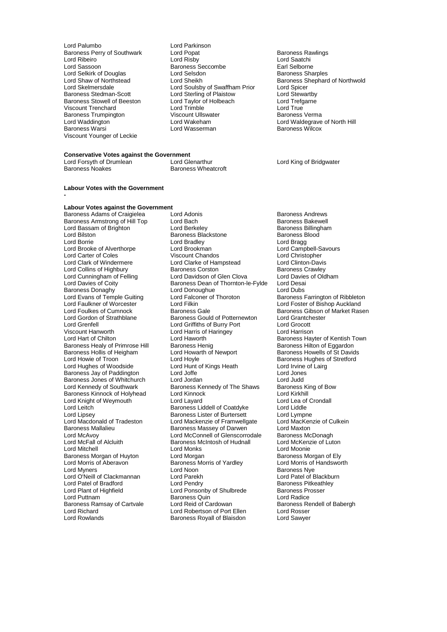- Lord Palumbo<br>Baroness Perry of Southwark Lord Popat Baroness Trumpington Viscount Ullswater Baroness Trumpington<br>
Viscount Ullswater Baroness Vermann Hord Wakeham Viscount Younger of Leckie
- Baroness Perry of Southwark Lord Popat Corporation Baroness Rawlings<br>
Lord Ribeiro Corporation Lord Risby<br>
Lord Ribeiro Corporation Lord Risby Lord Ribeiro Lord Risby Lord Saatchi Lord Sassoon Baroness Seccombe Earl Selborne Lord Selkirk of Douglas Lord Selsdon Baroness Sharples Lord Soulsby of Swaffham Prior Lord Spicer<br>
Lord Sterling of Plaistow Lord Stewartby Baroness Stedman-Scott Lord Sterling of Plaistow Lord Stewartby<br>
Baroness Stowell of Beeston Lord Taylor of Holbeach Lord Trefgarne Baroness Stowell of Beeston Lord Taylor of Holbeach Cord Trefg<br>
Lord Trenchard Cord Trimble Cord Trimble Lord True Viscount Trenchard **Communist Constructed Lord Trimble** Lord True Lord True Lord True Lord True Communist Communist<br>Baroness Trumpington Communist Communist Communist Communist Communist Communist Communist Communist Commu Lord Waddington Lord Wakeham Lord Waldegrave of North Hill Lord Wasserman
- Lord Shaw of Northstead Lord Sheikh Baroness Shephard of Northwold<br>
Lord Skelmersdale Lord Soulsby of Swaffham Prior Lord Spicer

### **Conservative Votes against the Government**<br>Lord Forsyth of Drumlean Lord Glenarthur Lord Forsyth of Drumlean Lord Glenarthur Lord King of Bridgwater Baroness Wheatcroft

## **Labour Votes with the Government**

## **Labour Votes against the Government**

**-**

Baroness Donaghy **Lord Donoughue**<br> **Cord Evans of Temple Guiting Lord Falconer of Thoroton** Viscount Hanworth Lord Harris of Haringey<br>
Lord Hart of Chilton Lord Haworth Baroness Hollis of Heigham Lord Howarth Lord Howells Lord Hoyle Baroness Morgan of Huyton<br>Lord Morris of Aberavon Lord Richard **Lord Robertson of Port Ellen**<br>
Lord Rowlands **Container Baroness Royall of Blaisdon** 

Baroness Adams of Craigielea Lord Adonis<br>
Baroness Armstrong of Hill Top Lord Bach Corea Lord Baroness Bakewell Baroness Armstrong of Hill Top Lord Bach Bach Baroness Bakewell<br>
Lord Bassam of Brighton Lord Berkelev Baroness Billingham Lord Bassam of Brighton Lord Berkeley Cord Berkeley Baroness Billing<br>Lord Bilston Baroness Blackstone Baroness Blood Lord Bussain S. Birghton Baroness Blackstone<br>
Lord Bilston Baroness Blackstone Baroness Blackstone Baroness Blackstone Baroness Blackstone Baroness B<br>
Lord Bradley Baroness Blackstone Bradley Lord Borrie Lord Bradley Lord Bragg Lord Brooke of Alverthorpe Lord Brookman and Lord Campbell-Savours Cord Campbell-Savours Lord Campbell-Savours<br>
Lord Carter of Coles Cord Chistopher Viscount Chandos Lord Carter of Coles <sup>1</sup><br>
Lord Clark of Windermere 1990 Lord Clarke of Hampstead 1990 Lord Clinton-Davis Lord Clarke of Hampstead Lord Clinton-Davis<br>Baroness Corston Baroness Crawley Lord Collins of Highbury **Baroness Corston**<br>
Lord Cunningham of Felling **Baroness Corston Clean Clova** Baroness Crawley<br>
Lord Davies of Oldham Lord Cunningham of Felling Lord Davidson of Glen Clova Lord Davies<br>Lord Davies of Coity **Constant Cloudy Baroness Dean of Thornton-le-Fylde** Lord Desai Baroness Dean of Thornton-le-Fylde Lord Desai<br>Lord Donoughue Lord Dubs Lord Evans of Temple Guiting Lord Falconer of Thoroton Baroness Farrington of Ribbleton<br>Lord Faulkner of Worcester Lord Filkin Lord Foster of Bishop Auckland Lord Faulkner of Worcester <sup>Z</sup> Exercise Lord Filkin Lord Foster of Bishop Auckland<br>Lord Foulkes of Cumnock Baroness Gale Baroness Gale Baroness Gibson of Market Ras Lord Foulkes of Cumnock Baroness Gale Baroness Gale Baroness Gibson of Market Rasen<br>
Baroness Gould of Potternewton Lord Grantchester Lord Gordon of Strathblane **Baroness Gould of Potternewton** Lord Grantch<br>
Lord Grenfell **Conditable Conditions**<br>
Lord Griffiths of Burry Port **Lord Grocott** Lord Grenfell Lord Griffiths of Burry Port Lord Grocott Lord Haworth **Exercise Chilton Lord Hart Childon Baroness Hayter of Kentish Town**<br>Baroness Henig **Baroness Hilton of Eggardon** Baroness Healy of Primrose Hill Baroness Henig Baroness Healy of Eggardon<br>Baroness Hollis of Heigham Bord Howarth of Newport Baroness Howells of St Davids Lord Hoyle<br>
Lord Hunt of Kings Heath<br>
Lord Irvine of Lairg Lord Hughes of Woodside Lord Hunt of Kings Heath Lord Irvine<br>
Baroness Jay of Paddington Lord Joffe Lord Jones Baroness Jay of Paddington Lord Joffe Lord Jones Baroness Jones of Whitchurch Lord Jordan Cord The Shaws Lord Judd<br>
Lord Kennedy of Southwark Baroness Kennedy of The Shaws Baroness King of Bow Baroness Kennedy of The Shaws Baroness King Baroness King of The Shaws Baroness King Ord King Cord Baroness Kinnock of Holyhead Lord Kinnock Lord Kinkhill Lord Kirkhill<br>Lord Knight of Weymouth Lord Lavard Lavard Lord Lea of Crondall Lord Knight of Weymouth Lord Layard<br>
Lord Lea of Coatdyke Lord Liddle<br>
Lord Liddle Coatdyke Lord Liddle Lord Leitch **Baroness Liddell of Coatdyke** Lord Liddle<br>
Lord Lipsey **Baroness Lister of Burtersett** Lord Lympne Lord Lipsey **Baroness Lister of Burtersett** Lord Lympne<br>Lord Macdonald of Tradeston Lord Mackenzie of Framwellgate Lord MacKenzie of Culkein Lord Macdonald of Tradeston Lord Mackenzie of Framwellgate Lord Macken<br>Baroness Mallalieu Baroness Massev of Darwen Lord Maxton Baroness Mallalieu **Baroness Massey of Darwen** Lord Maxton<br>
Lord McAvov Lord McConnell of Glenscorrodale Baroness McDonagh Lord McAvoy<br>
Lord McFall of Alcluith<br>
Baroness McIntosh of Hudnall Baroness McIntosh of Hudnall Lord McKenzie of Luton<br>Lord Monks<br>Lord Moonie Lord Mitchell<br>
Baroness Morgan of Huyton Lord Morgan<br>
Lord Morris of Aberavon Baroness Morris of Yardley Lord Morris of Handsworth<br>
Lord Morris of Aberavon Baroness Morris of Yardley Lord Morris of Handsworth Baroness Morris of Yardley Lord Myners Lord Noon Baroness Nye Lord O'Neill of Clackmannan Lord Parekh Lord Patel of Blackburn Cord Patel of Blackburn Lord Patel of Blackburn<br>Lord Patel of Bradford Lord Pendry Lord Pendry Cornel Baroness Pitkeathley Lord Patel of Bradford **Lord Pendry Consumerse Prophetic Baroness Pitkeath**<br>
Lord Ponsonby of Shulbrede **Baroness Prosser** Lord Plant of Highfield Lord Ponsonby of Shulbrede Baroness Providence Baroness Providence Baroness Quin Baroness Quin<br>
Lord Reid of Cardowan<br>
Baroness Rendell of Babergh Baroness Ramsay of Cartvale Lord Reid of Cardowan Baroness Rendell Baroness Rendell Baroness Rendell of Baroness Re<br>
Lord Richard Lord Robertson of Port Ellen Lord Rosser Baroness Royall of Blaisdon Lord Sawyer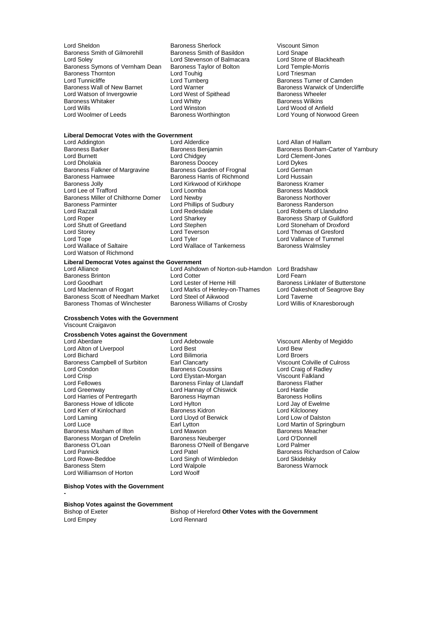Lord Sheldon **Baroness Sherlock** Viscount Simon<br>
Baroness Smith of Gilmorehill Baroness Smith of Basildon Lord Snape Baroness Smith of Gilmorehill Baroness Smith of Basildon Lord Snape<br>
Lord Solev Lord Stevenson of Balmacara Lord Stone of Blackheath Baroness Symons of Vernham Dean Baroness Taylor of Bolton Lord Temple-Morris Baroness Thornton Lord Temple-Mor<br>Baroness Thornton Lord Touhig Lord Touhig Baroness Thornton Lord Touhig<br>
Lord Tunnicliffe Lord Turnberg Baroness Wall of New Barnet Lord Warner Communication and Baroness Warwick Lord Warner Cord West of Spithead Cord West of Spithead Baroness Wheeler Lord Watson of Invergowrie **Lord West of Spithead** Baroness Wheele<br>Baroness Whitaker **Conserver Lord Whitty Baroness Wilkins** Baroness Whitaker **Lord Whitty**<br>
Lord Wills
Lord Wills
Baroness
Lord Wills
Baroness
Lord Wills
Baroness
Baroness
Lord Wills **Lord Wills**Lord Wills **Lord Wills Lord Wills Lord Wills Lord Wills Lord Wills Lord Wil** Lord Wills Lord Winston Cord Winston Lord Winston Lord Wood of Anfield<br>
Lord Woolmer of Leeds Baroness Worthington Lord Young of Norwoo

Lord Stevenson of Balmacara Lord Stone of Blackl<br>
Baroness Taylor of Bolton Lord Temple-Morris

## **Liberal Democrat Votes with the Government**

Lord Burnett Lord Chidgey Lord Clement-Jones Baroness Falkner of Margravine Baroness Garden of Frognal Lord German<br>Baroness Hamwee Baroness Harris of Richmond Lord Hussain Baroness Hamwee **Baroness Harris of Richmond** Lord Hussain<br>Baroness Jolly **Baroness Harris Cond** Kirkwood of Kirkhope **Baroness Kramer** Lord Lee of Trafford Lord Loomba<br>
Baroness Miller of Chilthorne Domer Lord Newby **Baroness Northover** Baroness Northover Baroness Miller of Chilthorne Domer Lord Newby **Baroness Northover**<br>Baroness Parminter **Lord Phillips of Sudbury** Baroness Randerson Baroness Parminter **Lord Phillips of Sudbury Lord Randers**<br>
Lord Razzall<br>
Lord Redesdale Lord Razzall Lord Redesdale Lord Roberts of Llandudno<br>
Lord Roberts of Landudno<br>
Lord Roberts of Landudno<br>
Lord Roberts of Landudno<br>
Lord Roberts of Landudno<br>
Lord Roberts of Landudno Lord Roper Contact Corresponding Lord Sharkey Corresponding to the Baroness Sharp of Guildford<br>
Lord Sharp Lord Stephen<br>
Lord Stephen Corresponding Lord Stoneham of Droxford Lord Shutt of Greetland Lord Stephen Lord Stoneham of Droxford Lord Storey Lord Teverson Lord Thomas of Gresford Lord Tope **Communist Communist Communist Communist Communist Communist Communist Communist Communist Communist Communist Communist Communist Communist Communist Communist Communist Communist Communist Communist Communist C** Lord Watson of Richmond

Lord Addington **Lord Allan of Hallam**<br>
Baroness Barker **Container Baroness Benjamin**<br>
Baroness Bonham-C Exaroness Doocey Lord Dykes<br>
Baroness Garden of Frognal Lord German Lord Kirkwood of Kirkhope **Baroness Kramer**<br>
Lord Loomba<br>
Baroness Maddock Lord Wallace of Tankerness

Lord Ashdown of Norton-sub-Hamdon Lord Bradshaw<br>Lord Cotter Lord Fearn Lord Goodhart **Lord Lester of Herne Hill** Baroness Linklater of Butterstone<br>
Lord Maclennan of Rogart Lord Marks of Henley-on-Thames Lord Oakeshott of Seagrove Bay Lord Marks of Henley-on-Thames Lord Oakeshott of Seagrove Bay<br>
Lord Steel of Aikwood Lord Taverne Baroness Scott of Needham Market Lord Steel of Aikwood Lord Taverne<br>
Baroness Thomas of Winchester Baroness Williams of Crosby Lord Willis of Knaresborough Baroness Williams of Crosby

Lord Turnberg Turner of Camden<br>Lord Warner **Lord Turner Baroness Warwick of Undercliffe** Lord Young of Norwood Green

Baroness Barker **Baroness Benjamin** Baroness Bonham-Carter of Yarnbury<br>
Baroness Bonham-Carter of Yarnbury<br>
Lord Burnett bond Clement-Jones

Lord Adebowale **Lord Adebowale** Viscount Allenby of Megiddo<br>
Lord Best<br>
Lord Bew Lord Bichard Lord Bilimoria Lord Broers

# **Liberal Democrat Votes against the Government**

**Baroness Brinton**<br> **Example 20 Lord Lester of Herne Hill**<br>
Lord Coodhart **Lord Lester of Herne Hill** 

## **Crossbench Votes with the Government** Viscount Craigavon

## **Crossbench Votes against the Government**

Lord Alton of Liverpool Lord Best Lord Bew Baroness Campbell of Surbiton Earl Clancarty<br>
Lord Condon<br>
Baroness Coussins Lord Condon **Condon Condon Baroness Coussins** Lord Craig of Radley<br>
Lord Crisp<br>
Lord Crisp<br>
Lord Elystan-Morgan Condon Crisp Crisp Crisp Lord Crisp Lord Elystan-Morgan Crisp Viscount Falkland<br>Lord Fellowes Crisp Baroness Finlay of Llandaff Charlenges Flather Lord Fellowes **Baroness Finlay of Llandaff** Baroness Flord Greenway **Baroness Finlay of Chiswick** Baroness Flord Hardie Lord Harries of Pentregarth **Baroness Hayman** Baroness Hollins<br>
Baroness Howe of Idlicote **Baroness Holling Baroness Holling**<br>
Lord Hylton **Baroness Howe of Idlicote** Baroness Howe of Idlicote Lord Hylton Lord Hylton Corol Lord Jay of Ewe<br>
Lord Kerr of Kinlochard Baroness Kidron Lord Kilcloonev Lord Kerr of Kinlochard Baroness Kidron Lord Kilclooney Lord Laming Lord Lloyd of Berwick<br>
Lord Luce Farl Lytton Baroness Masham of Ilton Lord Mawson Lord Saroness Meachers Meachers Meachers Meachers Baroness Meachers Baroness Meachers Baroness Meachers Baroness Meachers Baroness Meachers Baroness Meachers Lord O'Donnell Baroness Morgan of Drefelin Baroness Neuberger Baroness O'Lord O'Donnell Baroness O'Lord Palmer Baroness O'Loan Baroness O'Neill of Bengarve<br>
Lord Pannick Lord Patel Lord Patel Lord Patel Lord Patel Baroness Richardson of Calow<br>Lord Rowe-Beddoe Lord Singh of Wimbledon Lord Skidelsky Lord Rowe-Beddoe Lord Singh of Wimbledon<br>
Baroness Stern Corea Lord Walpole Lord Williamson of Horton

Lord Hannay of Chiswick Lord Hardie<br>Baroness Hayman Baroness Hollins Earl Lytton **Lord Martin of Springburn**<br>
Lord Mawson **Lord Martin Communist Communist Communist Communist Communist Communist Communist Communist Communist Communist Communist Communist Communist Communist Communist Commun** Lord Walpole **Baroness Warnock**<br> **Example 2** Lord Woolf

### **Bishop Votes with the Government -**

**Bishop Votes against the Government**

Bishop of Exeter Bishop of Hereford **Other Votes with the Government** Lord Empey Lord Rennard